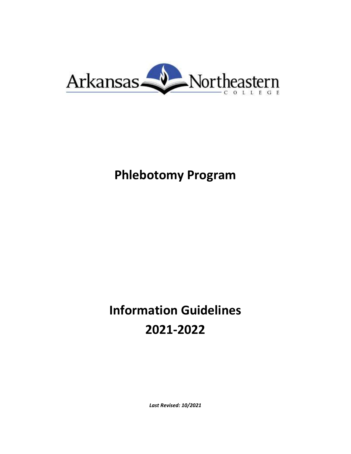

# **Phlebotomy Program**

# **Information Guidelines 2021-2022**

*Last Revised: 10/2021*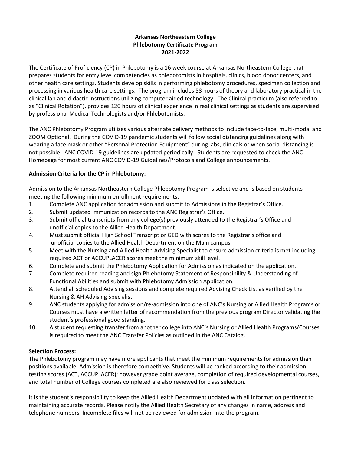# **Arkansas Northeastern College Phlebotomy Certificate Program 2021-2022**

The Certificate of Proficiency (CP) in Phlebotomy is a 16 week course at Arkansas Northeastern College that prepares students for entry level competencies as phlebotomists in hospitals, clinics, blood donor centers, and other health care settings. Students develop skills in performing phlebotomy procedures, specimen collection and processing in various health care settings. The program includes 58 hours of theory and laboratory practical in the clinical lab and didactic instructions utilizing computer aided technology. The Clinical practicum (also referred to as "Clinical Rotation"), provides 120 hours of clinical experience in real clinical settings as students are supervised by professional Medical Technologists and/or Phlebotomists.

The ANC Phlebotomy Program utilizes various alternate delivery methods to include face-to-face, multi-modal and ZOOM Optional. During the COVID-19 pandemic students will follow social distancing guidelines along with wearing a face mask or other "Personal Protection Equipment" during labs, clinicals or when social distancing is not possible. ANC COVID-19 guidelines are updated periodically. Students are requested to check the ANC Homepage for most current ANC COVID-19 Guidelines/Protocols and College announcements.

# **Admission Criteria for the CP in Phlebotomy:**

Admission to the Arkansas Northeastern College Phlebotomy Program is selective and is based on students meeting the following minimum enrollment requirements:

- 1. Complete ANC application for admission and submit to Admissions in the Registrar's Office.
- 2. Submit updated immunization records to the ANC Registrar's Office.
- 3. Submit official transcripts from any college(s) previously attended to the Registrar's Office and unofficial copies to the Allied Health Department.
- 4. Must submit official High School Transcript or GED with scores to the Registrar's office and unofficial copies to the Allied Health Department on the Main campus.
- 5. Meet with the Nursing and Allied Health Advising Specialist to ensure admission criteria is met including required ACT or ACCUPLACER scores meet the minimum skill level.
- 6. Complete and submit the Phlebotomy Application for Admission as indicated on the application.
- 7. Complete required reading and sign Phlebotomy Statement of Responsibility & Understanding of Functional Abilities and submit with Phlebotomy Admission Application*.*
- 8. Attend all scheduled Advising sessions and complete required Advising Check List as verified by the Nursing & AH Advising Specialist.
- 9. ANC students applying for admission/re-admission into one of ANC's Nursing or Allied Health Programs or Courses must have a written letter of recommendation from the previous program Director validating the student's professional good standing.
- 10. A student requesting transfer from another college into ANC's Nursing or Allied Health Programs/Courses is required to meet the ANC Transfer Policies as outlined in the ANC Catalog.

# **Selection Process:**

The Phlebotomy program may have more applicants that meet the minimum requirements for admission than positions available. Admission is therefore competitive. Students will be ranked according to their admission testing scores (ACT, ACCUPLACER); however grade point average, completion of required developmental courses, and total number of College courses completed are also reviewed for class selection.

It is the student's responsibility to keep the Allied Health Department updated with all information pertinent to maintaining accurate records. Please notify the Allied Health Secretary of any changes in name, address and telephone numbers. Incomplete files will not be reviewed for admission into the program.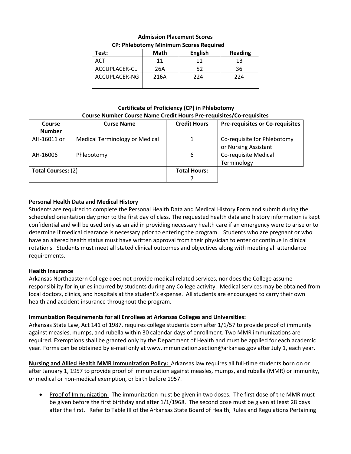| <b>CP: Phlebotomy Minimum Scores Required</b> |      |                |                |
|-----------------------------------------------|------|----------------|----------------|
| Test:                                         | Math | <b>English</b> | <b>Reading</b> |
| ACT                                           | 11   | 11             | 13             |
| ACCUPLACER-CL                                 | 26A  | 52             | 36             |
| ACCUPLACER-NG                                 | 216A | 224            | 224            |
|                                               |      |                |                |

#### **Admission Placement Scores**

**Certificate of Proficiency (CP) in Phlebotomy Course Number Course Name Credit Hours Pre-requisites/Co-requisites**

| <b>Course</b>             | <b>Curse Name</b>                     | <b>Credit Hours</b> | <b>Pre-requisites or Co-requisites</b> |
|---------------------------|---------------------------------------|---------------------|----------------------------------------|
| <b>Number</b>             |                                       |                     |                                        |
| AH-16011 or               | <b>Medical Terminology or Medical</b> |                     | Co-requisite for Phlebotomy            |
|                           |                                       |                     | or Nursing Assistant                   |
| AH-16006                  | Phlebotomy                            | 6                   | Co-requisite Medical                   |
|                           |                                       |                     | Terminology                            |
| <b>Total Courses: (2)</b> |                                       | <b>Total Hours:</b> |                                        |
|                           |                                       |                     |                                        |

# **Personal Health Data and Medical History**

Students are required to complete the Personal Health Data and Medical History Form and submit during the scheduled orientation day prior to the first day of class. The requested health data and history information is kept confidential and will be used only as an aid in providing necessary health care if an emergency were to arise or to determine if medical clearance is necessary prior to entering the program. Students who are pregnant or who have an altered health status must have written approval from their physician to enter or continue in clinical rotations. Students must meet all stated clinical outcomes and objectives along with meeting all attendance requirements.

# **Health Insurance**

Arkansas Northeastern College does not provide medical related services, nor does the College assume responsibility for injuries incurred by students during any College activity. Medical services may be obtained from local doctors, clinics, and hospitals at the student's expense. All students are encouraged to carry their own health and accident insurance throughout the program.

# **Immunization Requirements for all Enrollees at Arkansas Colleges and Universities:**

Arkansas State Law, Act 141 of 1987, requires college students born after 1/1/57 to provide proof of immunity against measles, mumps, and rubella within 30 calendar days of enrollment. Two MMR immunizations are required. Exemptions shall be granted only by the Department of Health and must be applied for each academic year. Forms can be obtained by e-mail only at www.immunization.section@arkansas.gov after July 1, each year.

**Nursing and Allied Health MMR Immunization Policy:** Arkansas law requires all full-time students born on or after January 1, 1957 to provide proof of immunization against measles, mumps, and rubella (MMR) or immunity, or medical or non-medical exemption, or birth before 1957.

• Proof of Immunization: The immunization must be given in two doses. The first dose of the MMR must be given before the first birthday and after 1/1/1968. The second dose must be given at least 28 days after the first. Refer to Table III of the Arkansas State Board of Health, Rules and Regulations Pertaining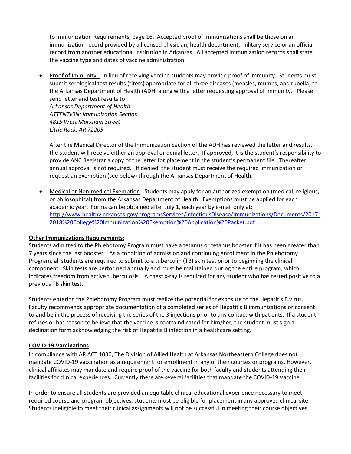to Immunization Requirements, page 16. Accepted proof of immunizations shall be those on an immunization record provided by a licensed physician, health department, military service or an official record from another educational institution in Arkansas. All accepted immunization records shall state the vaccine type and dates of vaccine administration.

• Proof of Immunity: In lieu of receiving vaccine students may provide proof of immunity. Students must submit serological test results (titers) appropriate for all three diseases (measles, mumps, and rubella) to the Arkansas Department of Health (ADH) along with a letter requesting approval of immunity. Please send letter and test results to: *Arkansas Department of Health ATTENTION: Immunization Section 4815 West Markham Street Little Rock, AR 72205*

After the Medical Director of the Immunization Section of the ADH has reviewed the letter and results, the student will receive either an approval or denial letter. If approved, it is the student's responsibility to provide ANC Registrar a copy of the letter for placement in the student's permanent file. Thereafter, annual approval is not required. If denied, the student must receive the required immunization or request an exemption (see below) through the Arkansas Department of Health.

 Medical or Non-medical Exemption: Students may apply for an authorized exemption (medical, religious, or philosophical) from the Arkansas Department of Health. Exemptions must be applied for each academic year. Forms can be obtained after July 1, each year by e-mail only at: [http://www.healthy.arkansas.gov/programsServices/infectiousDisease/Immunizations/Documents/2017-](http://www.healthy.arkansas.gov/programsServices/infectiousDisease/Immunizations/Documents/2017-2018%20College%20Immunization%20Exemption%20Application%20Packet.pdf) [2018%20College%20Immunization%20Exemption%20Application%20Packet.pdf](http://www.healthy.arkansas.gov/programsServices/infectiousDisease/Immunizations/Documents/2017-2018%20College%20Immunization%20Exemption%20Application%20Packet.pdf)

# **Other Immunizations Requirements:**

Students admitted to the Phlebotomy Program must have a tetanus or tetanus booster if it has been greater than 7 years since the last booster. As a condition of admission and continuing enrollment in the Phlebotomy Program, all students are required to submit to a tuberculin (TB) skin test prior to beginning the clinical component. Skin tests are performed annually and must be maintained during the entire program, which indicates freedom from active tuberculosis. A chest x-ray is required for any student who has tested positive to a previous TB skin test.

Students entering the Phlebotomy Program must realize the potential for exposure to the Hepatitis B virus. Faculty recommends appropriate documentation of a completed series of Hepatitis B immunizations or consent to and be in the process of receiving the series of the 3 injections prior to any contact with patients. If a student refuses or has reason to believe that the vaccine is contraindicated for him/her, the student must sign a declination form acknowledging the risk of Hepatitis B infection in a healthcare setting.

#### **COVID-19 Vaccinations**

In compliance with AR ACT 1030, The Division of Allied Health at Arkansas Northeastern College does not mandate COVID-19 vaccination as a requirement for enrollment in any of their courses or programs. However, clinical affiliates may mandate and require proof of the vaccine for both faculty and students attending their facilities for clinical experiences. Currently there are several facilities that mandate the COVID-19 Vaccine.

In order to ensure all students are provided an equitable clinical educational experience necessary to meet required course and program objectives, students must be eligible for placement in any approved clinical site. Students ineligible to meet their clinical assignments will not be successful in meeting their course objectives.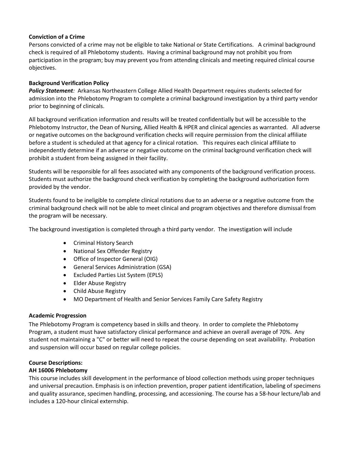# **Conviction of a Crime**

Persons convicted of a crime may not be eligible to take National or State Certifications. A criminal background check is required of all Phlebotomy students. Having a criminal background may not prohibit you from participation in the program; buy may prevent you from attending clinicals and meeting required clinical course objectives.

# **Background Verification Policy**

*Policy Statement:* Arkansas Northeastern College Allied Health Department requires students selected for admission into the Phlebotomy Program to complete a criminal background investigation by a third party vendor prior to beginning of clinicals.

All background verification information and results will be treated confidentially but will be accessible to the Phlebotomy Instructor, the Dean of Nursing, Allied Health & HPER and clinical agencies as warranted. All adverse or negative outcomes on the background verification checks will require permission from the clinical affiliate before a student is scheduled at that agency for a clinical rotation. This requires each clinical affiliate to independently determine if an adverse or negative outcome on the criminal background verification check will prohibit a student from being assigned in their facility.

Students will be responsible for all fees associated with any components of the background verification process. Students must authorize the background check verification by completing the background authorization form provided by the vendor.

Students found to be ineligible to complete clinical rotations due to an adverse or a negative outcome from the criminal background check will not be able to meet clinical and program objectives and therefore dismissal from the program will be necessary.

The background investigation is completed through a third party vendor. The investigation will include

- Criminal History Search
- National Sex Offender Registry
- Office of Inspector General (OIG)
- General Services Administration (GSA)
- Excluded Parties List System (EPLS)
- Elder Abuse Registry
- Child Abuse Registry
- MO Department of Health and Senior Services Family Care Safety Registry

#### **Academic Progression**

The Phlebotomy Program is competency based in skills and theory. In order to complete the Phlebotomy Program, a student must have satisfactory clinical performance and achieve an overall average of 70%. Any student not maintaining a "C" or better will need to repeat the course depending on seat availability. Probation and suspension will occur based on regular college policies.

# **Course Descriptions:**

#### **AH 16006 Phlebotomy**

This course includes skill development in the performance of blood collection methods using proper techniques and universal precaution. Emphasis is on infection prevention, proper patient identification, labeling of specimens and quality assurance, specimen handling, processing, and accessioning. The course has a 58-hour lecture/lab and includes a 120-hour clinical externship.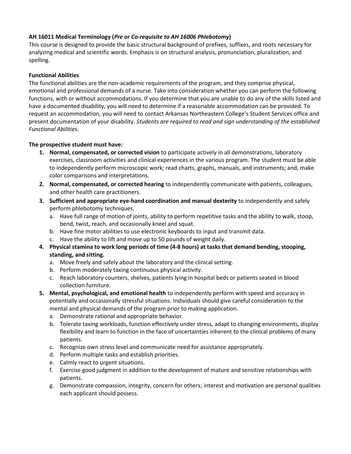# **AH 16011 Medical Terminology (***Pre or Co-requisite to AH 16006 Phlebotomy***)**

This course is designed to provide the basic structural background of prefixes, suffixes, and roots necessary for analyzing medical and scientific words. Emphasis is on structural analysis, pronunciation, pluralization, and spelling.

# **Functional Abilities**

The functional abilities are the non-academic requirements of the program, and they comprise physical, emotional and professional demands of a nurse. Take into consideration whether you can perform the following functions, with or without accommodations. If you determine that you are unable to do any of the skills listed and have a documented disability, you will need to determine if a reasonable accommodation can be provided. To request an accommodation, you will need to contact Arkansas Northeastern College's Student Services office and present documentation of your disability. *Students are required to read and sign understanding of the established Functional Abilities.*

# **The prospective student must have:**

- **1. Normal, compensated, or corrected vision** to participate actively in all demonstrations, laboratory exercises, classroom activities and clinical experiences in the various program. The student must be able to independently perform microscopic work; read charts, graphs, manuals, and instruments; and, make color comparisons and interpretations.
- **2. Normal, compensated, or corrected hearing** to independently communicate with patients, colleagues, and other health care practitioners.
- **3. Sufficient and appropriate eye-hand coordination and manual dexterity** to independently and safely perform phlebotomy techniques.
	- a. Have full range of motion of joints, ability to perform repetitive tasks and the ability to walk, stoop, bend, twist, reach, and occasionally kneel and squat.
	- b. Have fine motor abilities to use electronic keyboards to input and transmit data.
	- c. Have the ability to lift and move up to 50 pounds of weight daily.
- **4. Physical stamina to work long periods of time (4-8 hours) at tasks that demand bending, stooping, standing, and sitting.** 
	- a. Move freely and safely about the laboratory and the clinical setting.
	- b. Perform moderately taxing continuous physical activity.
	- c. Reach laboratory counters, shelves, patients lying in hospital beds or patients seated in blood collection furniture.
- **5. Mental, psychological, and emotional health** to independently perform with speed and accuracy in potentially and occasionally stressful situations. Individuals should give careful consideration to the mental and physical demands of the program prior to making application.
	- a. Demonstrate rational and appropriate behavior.
	- b. Tolerate taxing workloads, function effectively under stress, adapt to changing environments, display flexibility and learn to function in the face of uncertainties inherent to the clinical problems of many patients.
	- c. Recognize own stress level and communicate need for assistance appropriately.
	- d. Perform multiple tasks and establish priorities.
	- e. Calmly react to urgent situations.
	- f. Exercise good judgment in addition to the development of mature and sensitive relationships with patients.
	- g. Demonstrate compassion, integrity, concern for others; interest and motivation are personal qualities each applicant should possess.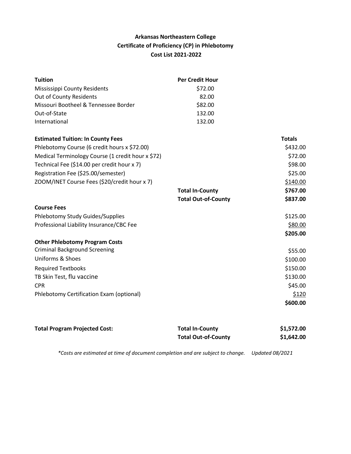# **Arkansas Northeastern College Certificate of Proficiency (CP) in Phlebotomy Cost List 2021-2022**

| <b>Per Credit Hour</b>     |               |
|----------------------------|---------------|
| \$72.00                    |               |
| 82.00                      |               |
| \$82.00                    |               |
| 132.00                     |               |
| 132.00                     |               |
|                            | <b>Totals</b> |
|                            | \$432.00      |
|                            | \$72.00       |
|                            | \$98.00       |
|                            | \$25.00       |
|                            | \$140.00      |
| <b>Total In-County</b>     | \$767.00      |
| <b>Total Out-of-County</b> | \$837.00      |
|                            |               |
|                            | \$125.00      |
|                            | \$80.00       |
|                            | \$205.00      |
|                            |               |
|                            | \$55.00       |
|                            | \$100.00      |
|                            | \$150.00      |
|                            | \$130.00      |
|                            | \$45.00       |
|                            | \$120         |
|                            | \$600.00      |
|                            |               |

| <b>Total Program Projected Cost:</b> | <b>Total In-County</b>     | \$1,572.00 |
|--------------------------------------|----------------------------|------------|
|                                      | <b>Total Out-of-County</b> | \$1,642.00 |
|                                      |                            |            |

*\*Costs are estimated at time of document completion and are subject to change. Updated 08/2021*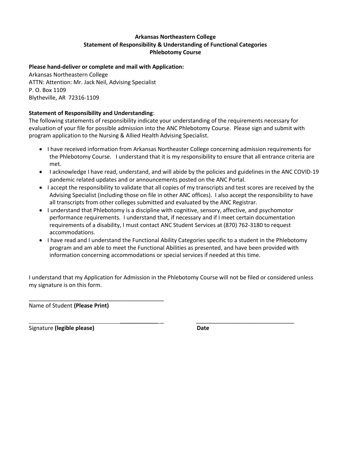# **Arkansas Northeastern College Statement of Responsibility & Understanding of Functional Categories Phlebotomy Course**

# **Please hand-deliver or complete and mail with Application:**

Arkansas Northeastern College ATTN: Attention: Mr. Jack Neil, Advising Specialist P. O. Box 1109 Blytheville, AR 72316-1109

# **Statement of Responsibility and Understanding**:

The following statements of responsibility indicate your understanding of the requirements necessary for evaluation of your file for possible admission into the ANC Phlebotomy Course. Please sign and submit with program application to the Nursing & Allied Health Advising Specialist.

- I have received information from Arkansas Northeaster College concerning admission requirements for the Phlebotomy Course. I understand that it is my responsibility to ensure that all entrance criteria are met.
- I acknowledge I have read, understand, and will abide by the policies and guidelines in the ANC COVID-19 pandemic related updates and or announcements posted on the ANC Portal.
- I accept the responsibility to validate that all copies of my transcripts and test scores are received by the Advising Specialist (including those on file in other ANC offices). I also accept the responsibility to have all transcripts from other colleges submitted and evaluated by the ANC Registrar.
- I understand that Phlebotomy is a discipline with cognitive, sensory, affective, and psychomotor performance requirements. I understand that, if necessary and if I meet certain documentation requirements of a disability, I must contact ANC Student Services at (870) 762-3180 to request accommodations.
- I have read and I understand the Functional Ability Categories specific to a student in the Phlebotomy program and am able to meet the Functional Abilities as presented, and have been provided with information concerning accommodations or special services if needed at this time.

I understand that my Application for Admission in the Phlebotomy Course will not be filed or considered unless my signature is on this form.

\_\_\_\_\_\_\_\_\_\_\_\_ \_ \_\_\_\_\_\_\_\_\_\_\_\_\_\_\_\_\_\_\_\_\_\_\_\_\_\_\_\_\_\_\_

\_\_\_\_\_\_\_\_\_\_\_\_\_\_\_\_\_\_\_\_\_\_\_\_\_\_\_\_\_\_\_\_\_\_\_\_\_\_\_\_\_\_\_ Name of Student **(Please Print)**

Signature **(legible please) Date**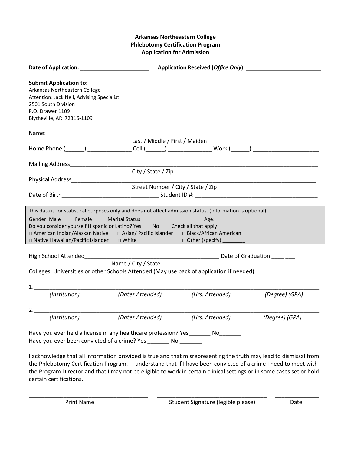# **Arkansas Northeastern College Phlebotomy Certification Program Application for Admission**

| <b>Submit Application to:</b><br>Arkansas Northeastern College<br>Attention: Jack Neil, Advising Specialist<br>2501 South Division<br>P.O. Drawer 1109<br>Blytheville, AR 72316-1109                                                      |                                    |                 |                |
|-------------------------------------------------------------------------------------------------------------------------------------------------------------------------------------------------------------------------------------------|------------------------------------|-----------------|----------------|
|                                                                                                                                                                                                                                           |                                    |                 |                |
|                                                                                                                                                                                                                                           | Last / Middle / First / Maiden     |                 |                |
| Home Phone (______) ________________Cell (______) ____________________Work (______) _________________________                                                                                                                             |                                    |                 |                |
| Mailing Address Mail and Mailing Address                                                                                                                                                                                                  |                                    |                 |                |
|                                                                                                                                                                                                                                           | City / State / Zip                 |                 |                |
| Physical Address <b>Contract Contract Contract Contract Contract Contract Contract Contract Contract Contract Contract Contract Contract Contract Contract Contract Contract Contract Contract Contract Contract Contract Contra</b>      |                                    |                 |                |
|                                                                                                                                                                                                                                           | Street Number / City / State / Zip |                 |                |
|                                                                                                                                                                                                                                           |                                    |                 |                |
|                                                                                                                                                                                                                                           |                                    |                 |                |
| This data is for statistical purposes only and does not affect admission status. (Information is optional)                                                                                                                                |                                    |                 |                |
|                                                                                                                                                                                                                                           |                                    |                 |                |
| Do you consider yourself Hispanic or Latino? Yes___ No ___ Check all that apply:                                                                                                                                                          |                                    |                 |                |
| □ American Indian/Alaskan Native □ Asian/ Pacific Islander □ Black/African American                                                                                                                                                       |                                    |                 |                |
|                                                                                                                                                                                                                                           |                                    |                 |                |
| High School Attended <b>Example 2018</b> Date of Graduation <b>Contract Contract Contract Contract Contract Contract Contract Contract Contract Contract Contract Contract Contract Contract Contract Contract Contract Contract Cont</b> |                                    |                 |                |
|                                                                                                                                                                                                                                           | Name / City / State                |                 |                |
| Colleges, Universities or other Schools Attended (May use back of application if needed):                                                                                                                                                 |                                    |                 |                |
|                                                                                                                                                                                                                                           |                                    |                 |                |
|                                                                                                                                                                                                                                           |                                    |                 |                |
|                                                                                                                                                                                                                                           | (Dates Attended)                   | (Hrs. Attended) | (Degree) (GPA) |
|                                                                                                                                                                                                                                           |                                    |                 |                |
|                                                                                                                                                                                                                                           |                                    |                 |                |
| (Institution)                                                                                                                                                                                                                             | (Dates Attended)                   | (Hrs. Attended) | (Degree) (GPA) |
| Have you ever held a license in any healthcare profession? Yes _________ No_______<br>Have you ever been convicted of a crime? Yes ________ No _______                                                                                    |                                    |                 |                |
| I acknowledge that all information provided is true and that misrepresenting the truth may lead to dismissal from                                                                                                                         |                                    |                 |                |

the Phlebotomy Certification Program. I understand that if I have been convicted of a crime I need to meet with the Program Director and that I may not be eligible to work in certain clinical settings or in some cases set or hold certain certifications.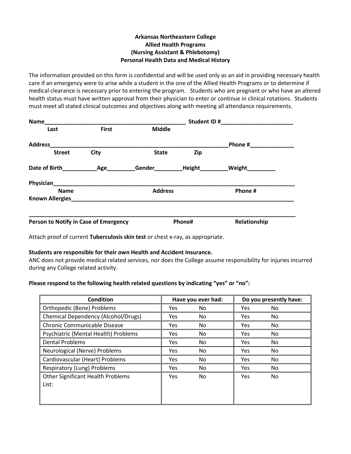# **Arkansas Northeastern College Allied Health Programs (Nursing Assistant & Phlebotomy) Personal Health Data and Medical History**

The information provided on this form is confidential and will be used only as an aid in providing necessary health care if an emergency were to arise while a student in the one of the Allied Health Programs or to determine if medical clearance is necessary prior to entering the program. Students who are pregnant or who have an altered health status must have written approval from their physician to enter or continue in clinical rotations. Students must meet all stated clinical outcomes and objectives along with meeting all attendance requirements.

| <b>Name</b>                           |              |                | Student ID#   |              |
|---------------------------------------|--------------|----------------|---------------|--------------|
| Last                                  | <b>First</b> | <b>Middle</b>  |               |              |
| <b>Address</b>                        |              |                |               | Phone #      |
| <b>Street</b>                         | <b>City</b>  | <b>State</b>   | Zip           |              |
| Date of Birth                         | Age          | Gender         | <b>Height</b> | Weight       |
| <b>Physician</b>                      |              |                |               |              |
| <b>Name</b>                           |              | <b>Address</b> |               | Phone #      |
| <b>Known Allergies</b>                |              |                |               |              |
| Person to Notify in Case of Emergency |              |                | Phone#        | Relationship |

Attach proof of current **Tuberculosis skin test** or chest x-ray, as appropriate.

#### **Students are responsible for their own Health and Accident Insurance.**

ANC does not provide medical related services, nor does the College assume responsibility for injuries incurred during any College related activity.

#### **Please respond to the following health related questions by indicating "yes" or "no":**

| Condition                                         |            | Have you ever had: |            | Do you presently have: |
|---------------------------------------------------|------------|--------------------|------------|------------------------|
| Orthopedic (Bone) Problems                        | <b>Yes</b> | No.                | <b>Yes</b> | No.                    |
| Chemical Dependency (Alcohol/Drugs)               | Yes        | No.                | <b>Yes</b> | No.                    |
| Chronic Communicable Disease                      | Yes        | No.                | Yes        | No.                    |
| Psychiatric (Mental Health) Problems              | Yes        | No                 | Yes        | No.                    |
| <b>Dental Problems</b>                            | Yes        | No                 | Yes        | No.                    |
| Neurological (Nerve) Problems                     | <b>Yes</b> | No                 | <b>Yes</b> | No.                    |
| Cardiovascular (Heart) Problems                   | <b>Yes</b> | No                 | <b>Yes</b> | No.                    |
| Respiratory (Lung) Problems                       | <b>Yes</b> | No                 | <b>Yes</b> | No.                    |
| <b>Other Significant Health Problems</b><br>List: | Yes        | No                 | Yes        | No.                    |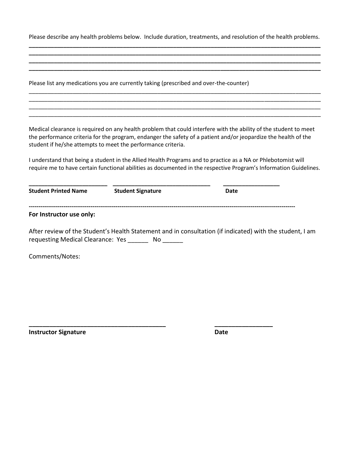Please describe any health problems below. Include duration, treatments, and resolution of the health problems. **\_\_\_\_\_\_\_\_\_\_\_\_\_\_\_\_\_\_\_\_\_\_\_\_\_\_\_\_\_\_\_\_\_\_\_\_\_\_\_\_\_\_\_\_\_\_\_\_\_\_\_\_\_\_\_\_\_\_\_\_\_\_\_\_\_\_\_\_\_\_\_\_\_\_\_\_\_\_\_\_\_\_\_\_\_\_\_\_\_\_\_\_\_**

**\_\_\_\_\_\_\_\_\_\_\_\_\_\_\_\_\_\_\_\_\_\_\_\_\_\_\_\_\_\_\_\_\_\_\_\_\_\_\_\_\_\_\_\_\_\_\_\_\_\_\_\_\_\_\_\_\_\_\_\_\_\_\_\_\_\_\_\_\_\_\_\_\_\_\_\_\_\_\_\_\_\_\_\_\_\_\_\_\_\_\_\_\_ \_\_\_\_\_\_\_\_\_\_\_\_\_\_\_\_\_\_\_\_\_\_\_\_\_\_\_\_\_\_\_\_\_\_\_\_\_\_\_\_\_\_\_\_\_\_\_\_\_\_\_\_\_\_\_\_\_\_\_\_\_\_\_\_\_\_\_\_\_\_\_\_\_\_\_\_\_\_\_\_\_\_\_\_\_\_\_\_\_\_\_\_\_**

|                             | Please list any medications you are currently taking (prescribed and over-the-counter) |                                                                                                                                                                                                                                    |  |
|-----------------------------|----------------------------------------------------------------------------------------|------------------------------------------------------------------------------------------------------------------------------------------------------------------------------------------------------------------------------------|--|
|                             |                                                                                        |                                                                                                                                                                                                                                    |  |
|                             |                                                                                        |                                                                                                                                                                                                                                    |  |
|                             | student if he/she attempts to meet the performance criteria.                           | Medical clearance is required on any health problem that could interfere with the ability of the student to meet<br>the performance criteria for the program, endanger the safety of a patient and/or jeopardize the health of the |  |
|                             |                                                                                        | I understand that being a student in the Allied Health Programs and to practice as a NA or Phlebotomist will<br>require me to have certain functional abilities as documented in the respective Program's Information Guidelines.  |  |
| <b>Student Printed Name</b> | <b>Student Signature</b>                                                               | Date                                                                                                                                                                                                                               |  |
| For Instructor use only:    |                                                                                        |                                                                                                                                                                                                                                    |  |
|                             | requesting Medical Clearance: Yes _______ No ______                                    | After review of the Student's Health Statement and in consultation (if indicated) with the student, I am                                                                                                                           |  |
| Comments/Notes:             |                                                                                        |                                                                                                                                                                                                                                    |  |
|                             |                                                                                        |                                                                                                                                                                                                                                    |  |

**\_\_\_\_\_\_\_\_\_\_\_\_\_\_\_\_\_\_\_\_\_\_\_\_\_\_\_\_\_\_\_\_\_\_\_\_\_\_\_\_ \_\_\_\_\_\_\_\_\_\_\_\_\_\_\_\_\_** 

**Instructor Signature Date**